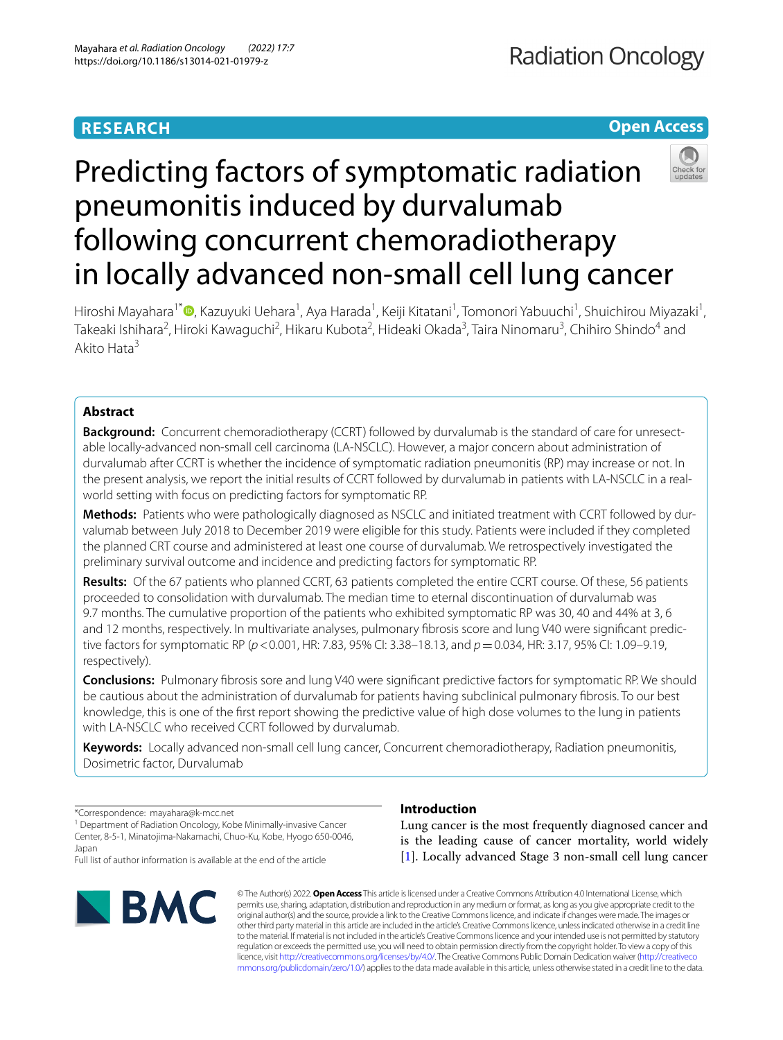# **RESEARCH**

## **Open Access**



# Predicting factors of symptomatic radiation pneumonitis induced by durvalumab following concurrent chemoradiotherapy in locally advanced non-small cell lung cancer

Hiroshi Mayahara<sup>1[\\*](http://orcid.org/0000-0001-6378-4437)</sup>®, Kazuyuki Uehara<sup>1</sup>, Aya Harada<sup>1</sup>, Keiji Kitatani<sup>1</sup>, Tomonori Yabuuchi<sup>1</sup>, Shuichirou Miyazaki<sup>1</sup>, Takeaki Ishihara<sup>2</sup>, Hiroki Kawaguchi<sup>2</sup>, Hikaru Kubota<sup>2</sup>, Hideaki Okada<sup>3</sup>, Taira Ninomaru<sup>3</sup>, Chihiro Shindo<sup>4</sup> and Akito Hata3

## **Abstract**

**Background:** Concurrent chemoradiotherapy (CCRT) followed by durvalumab is the standard of care for unresectable locally-advanced non-small cell carcinoma (LA-NSCLC). However, a major concern about administration of durvalumab after CCRT is whether the incidence of symptomatic radiation pneumonitis (RP) may increase or not. In the present analysis, we report the initial results of CCRT followed by durvalumab in patients with LA-NSCLC in a realworld setting with focus on predicting factors for symptomatic RP.

**Methods:** Patients who were pathologically diagnosed as NSCLC and initiated treatment with CCRT followed by durvalumab between July 2018 to December 2019 were eligible for this study. Patients were included if they completed the planned CRT course and administered at least one course of durvalumab. We retrospectively investigated the preliminary survival outcome and incidence and predicting factors for symptomatic RP.

**Results:** Of the 67 patients who planned CCRT, 63 patients completed the entire CCRT course. Of these, 56 patients proceeded to consolidation with durvalumab. The median time to eternal discontinuation of durvalumab was 9.7 months. The cumulative proportion of the patients who exhibited symptomatic RP was 30, 40 and 44% at 3, 6 and 12 months, respectively. In multivariate analyses, pulmonary fbrosis score and lung V40 were signifcant predictive factors for symptomatic RP (*p*<0.001, HR: 7.83, 95% CI: 3.38–18.13, and *p*=0.034, HR: 3.17, 95% CI: 1.09–9.19, respectively).

**Conclusions:** Pulmonary fbrosis sore and lung V40 were signifcant predictive factors for symptomatic RP. We should be cautious about the administration of durvalumab for patients having subclinical pulmonary fbrosis. To our best knowledge, this is one of the frst report showing the predictive value of high dose volumes to the lung in patients with LA-NSCLC who received CCRT followed by durvalumab.

**Keywords:** Locally advanced non-small cell lung cancer, Concurrent chemoradiotherapy, Radiation pneumonitis, Dosimetric factor, Durvalumab

\*Correspondence: mayahara@k-mcc.net

<sup>1</sup> Department of Radiation Oncology, Kobe Minimally-invasive Cancer Center, 8-5-1, Minatojima-Nakamachi, Chuo-Ku, Kobe, Hyogo 650-0046, Japan

Full list of author information is available at the end of the article



## **Introduction**

Lung cancer is the most frequently diagnosed cancer and is the leading cause of cancer mortality, world widely [[1\]](#page-8-0). Locally advanced Stage 3 non-small cell lung cancer

© The Author(s) 2022. **Open Access** This article is licensed under a Creative Commons Attribution 4.0 International License, which permits use, sharing, adaptation, distribution and reproduction in any medium or format, as long as you give appropriate credit to the original author(s) and the source, provide a link to the Creative Commons licence, and indicate if changes were made. The images or other third party material in this article are included in the article's Creative Commons licence, unless indicated otherwise in a credit line to the material. If material is not included in the article's Creative Commons licence and your intended use is not permitted by statutory regulation or exceeds the permitted use, you will need to obtain permission directly from the copyright holder. To view a copy of this licence, visit [http://creativecommons.org/licenses/by/4.0/.](http://creativecommons.org/licenses/by/4.0/) The Creative Commons Public Domain Dedication waiver ([http://creativeco](http://creativecommons.org/publicdomain/zero/1.0/) [mmons.org/publicdomain/zero/1.0/](http://creativecommons.org/publicdomain/zero/1.0/)) applies to the data made available in this article, unless otherwise stated in a credit line to the data.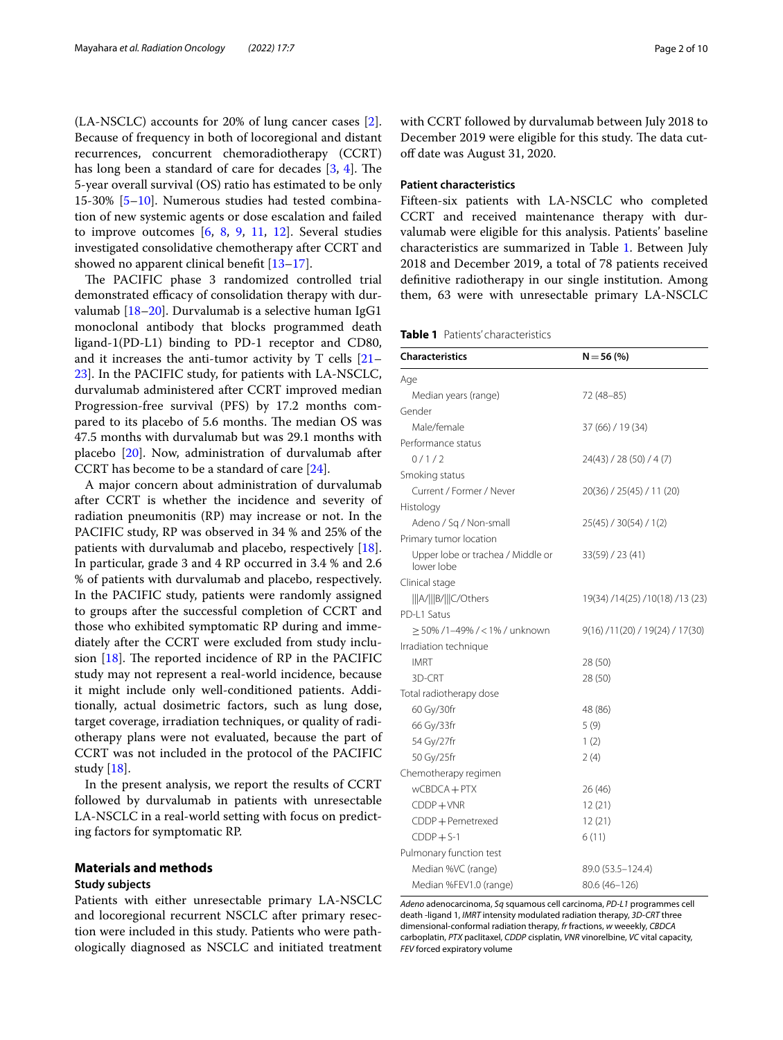(LA-NSCLC) accounts for 20% of lung cancer cases [\[2](#page-8-1)]. Because of frequency in both of locoregional and distant recurrences, concurrent chemoradiotherapy (CCRT) has long been a standard of care for decades  $[3, 4]$  $[3, 4]$  $[3, 4]$  $[3, 4]$  $[3, 4]$ . The 5-year overall survival (OS) ratio has estimated to be only 15-30% [[5–](#page-8-4)[10\]](#page-8-5). Numerous studies had tested combination of new systemic agents or dose escalation and failed to improve outcomes  $[6, 8, 9, 11, 12]$  $[6, 8, 9, 11, 12]$  $[6, 8, 9, 11, 12]$  $[6, 8, 9, 11, 12]$  $[6, 8, 9, 11, 12]$  $[6, 8, 9, 11, 12]$  $[6, 8, 9, 11, 12]$  $[6, 8, 9, 11, 12]$  $[6, 8, 9, 11, 12]$  $[6, 8, 9, 11, 12]$ . Several studies investigated consolidative chemotherapy after CCRT and showed no apparent clinical benefit [[13–](#page-9-2)[17](#page-9-3)].

The PACIFIC phase 3 randomized controlled trial demonstrated efficacy of consolidation therapy with durvalumab [\[18](#page-9-4)[–20\]](#page-9-5). Durvalumab is a selective human IgG1 monoclonal antibody that blocks programmed death ligand-1(PD-L1) binding to PD-1 receptor and CD80, and it increases the anti-tumor activity by T cells [[21–](#page-9-6) [23\]](#page-9-7). In the PACIFIC study, for patients with LA-NSCLC, durvalumab administered after CCRT improved median Progression-free survival (PFS) by 17.2 months compared to its placebo of 5.6 months. The median OS was 47.5 months with durvalumab but was 29.1 months with placebo [[20](#page-9-5)]. Now, administration of durvalumab after CCRT has become to be a standard of care [\[24\]](#page-9-8).

A major concern about administration of durvalumab after CCRT is whether the incidence and severity of radiation pneumonitis (RP) may increase or not. In the PACIFIC study, RP was observed in 34 % and 25% of the patients with durvalumab and placebo, respectively [\[18](#page-9-4)]. In particular, grade 3 and 4 RP occurred in 3.4 % and 2.6 % of patients with durvalumab and placebo, respectively. In the PACIFIC study, patients were randomly assigned to groups after the successful completion of CCRT and those who exhibited symptomatic RP during and immediately after the CCRT were excluded from study inclusion  $[18]$  $[18]$ . The reported incidence of RP in the PACIFIC study may not represent a real-world incidence, because it might include only well-conditioned patients. Additionally, actual dosimetric factors, such as lung dose, target coverage, irradiation techniques, or quality of radiotherapy plans were not evaluated, because the part of CCRT was not included in the protocol of the PACIFIC study [\[18](#page-9-4)].

In the present analysis, we report the results of CCRT followed by durvalumab in patients with unresectable LA-NSCLC in a real-world setting with focus on predicting factors for symptomatic RP.

## **Materials and methods**

## **Study subjects**

Patients with either unresectable primary LA-NSCLC and locoregional recurrent NSCLC after primary resection were included in this study. Patients who were pathologically diagnosed as NSCLC and initiated treatment with CCRT followed by durvalumab between July 2018 to December 2019 were eligible for this study. The data cutoff date was August 31, 2020.

## **Patient characteristics**

Fifteen-six patients with LA-NSCLC who completed CCRT and received maintenance therapy with durvalumab were eligible for this analysis. Patients' baseline characteristics are summarized in Table [1](#page-1-0). Between July 2018 and December 2019, a total of 78 patients received defnitive radiotherapy in our single institution. Among them, 63 were with unresectable primary LA-NSCLC

<span id="page-1-0"></span>

|  | <b>Table 1</b> Patients' characteristics |
|--|------------------------------------------|
|  |                                          |

| <b>Characteristics</b>                          | $N = 56(%)$                      |
|-------------------------------------------------|----------------------------------|
| Age                                             |                                  |
| Median years (range)                            | 72 (48-85)                       |
| Gender                                          |                                  |
| Male/female                                     | 37 (66) / 19 (34)                |
| Performance status                              |                                  |
| 0/1/2                                           | 24(43) / 28 (50) / 4 (7)         |
| Smoking status                                  |                                  |
| Current / Former / Never                        | 20(36) / 25(45) / 11 (20)        |
| Histology                                       |                                  |
| Adeno / Sq / Non-small                          | 25(45) / 30(54) / 1(2)           |
| Primary tumor location                          |                                  |
| Upper lobe or trachea / Middle or<br>lower lobe | 33(59) / 23(41)                  |
| Clinical stage                                  |                                  |
| A/   B/   C/Others                              | 19(34) /14(25) /10(18) /13 (23)  |
| PD-L1 Satus                                     |                                  |
| > 50% /1–49% /<1% / unknown                     | 9(16) / 11(20) / 19(24) / 17(30) |
| Irradiation technique                           |                                  |
| <b>IMRT</b>                                     | 28 (50)                          |
| 3D-CRT                                          | 28 (50)                          |
| Total radiotherapy dose                         |                                  |
| 60 Gy/30fr                                      | 48 (86)                          |
| 66 Gy/33fr                                      | 5(9)                             |
| 54 Gy/27fr                                      | 1(2)                             |
| 50 Gy/25fr                                      | 2(4)                             |
| Chemotherapy regimen                            |                                  |
| $wCBDCA + PTX$                                  | 26(46)                           |
| $CDDP+VNR$                                      | 12(21)                           |
| CDDP + Pemetrexed                               | 12(21)                           |
| $CDDP + S-1$                                    | 6(11)                            |
| Pulmonary function test                         |                                  |
| Median %VC (range)                              | 89.0 (53.5–124.4)                |
| Median %FEV1.0 (range)                          | 80.6 (46-126)                    |

*Adeno* adenocarcinoma, *Sq* squamous cell carcinoma, *PD-L1* programmes cell death -ligand 1, *IMRT* intensity modulated radiation therapy, *3D-CRT* three dimensional-conformal radiation therapy, *fr* fractions, *w* weeekly, *CBDCA* carboplatin, *PTX* paclitaxel, *CDDP* cisplatin, *VNR* vinorelbine, *VC* vital capacity, *FEV* forced expiratory volume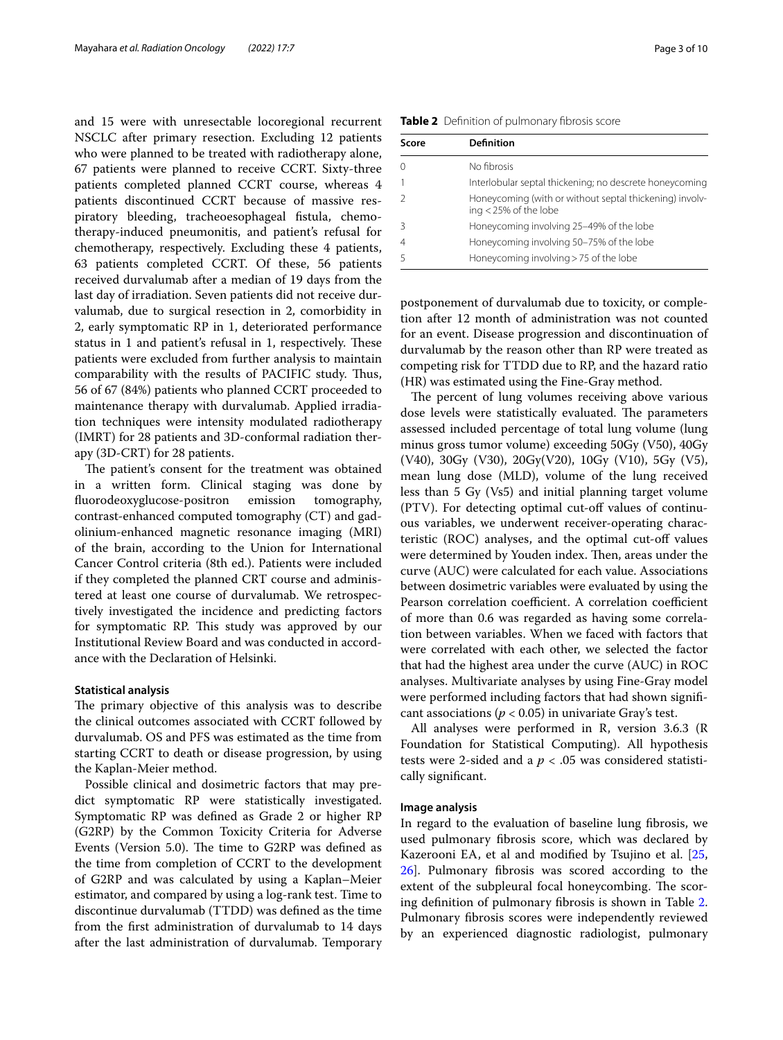and 15 were with unresectable locoregional recurrent NSCLC after primary resection. Excluding 12 patients who were planned to be treated with radiotherapy alone, 67 patients were planned to receive CCRT. Sixty-three patients completed planned CCRT course, whereas 4 patients discontinued CCRT because of massive respiratory bleeding, tracheoesophageal fstula, chemotherapy-induced pneumonitis, and patient's refusal for chemotherapy, respectively. Excluding these 4 patients, 63 patients completed CCRT. Of these, 56 patients received durvalumab after a median of 19 days from the last day of irradiation. Seven patients did not receive durvalumab, due to surgical resection in 2, comorbidity in 2, early symptomatic RP in 1, deteriorated performance status in 1 and patient's refusal in 1, respectively. These patients were excluded from further analysis to maintain comparability with the results of PACIFIC study. Thus, 56 of 67 (84%) patients who planned CCRT proceeded to maintenance therapy with durvalumab. Applied irradiation techniques were intensity modulated radiotherapy (IMRT) for 28 patients and 3D-conformal radiation therapy (3D-CRT) for 28 patients.

The patient's consent for the treatment was obtained in a written form. Clinical staging was done by fuorodeoxyglucose-positron emission tomography, contrast-enhanced computed tomography (CT) and gadolinium-enhanced magnetic resonance imaging (MRI) of the brain, according to the Union for International Cancer Control criteria (8th ed.). Patients were included if they completed the planned CRT course and administered at least one course of durvalumab. We retrospectively investigated the incidence and predicting factors for symptomatic RP. This study was approved by our Institutional Review Board and was conducted in accordance with the Declaration of Helsinki.

#### **Statistical analysis**

The primary objective of this analysis was to describe the clinical outcomes associated with CCRT followed by durvalumab. OS and PFS was estimated as the time from starting CCRT to death or disease progression, by using the Kaplan-Meier method.

Possible clinical and dosimetric factors that may predict symptomatic RP were statistically investigated. Symptomatic RP was defned as Grade 2 or higher RP (G2RP) by the Common Toxicity Criteria for Adverse Events (Version 5.0). The time to G2RP was defined as the time from completion of CCRT to the development of G2RP and was calculated by using a Kaplan–Meier estimator, and compared by using a log-rank test. Time to discontinue durvalumab (TTDD) was defned as the time from the frst administration of durvalumab to 14 days after the last administration of durvalumab. Temporary

<span id="page-2-0"></span>**Table 2** Definition of pulmonary fibrosis score

| Score | <b>Definition</b>                                                                |
|-------|----------------------------------------------------------------------------------|
|       | No fibrosis                                                                      |
|       | Interlobular septal thickening; no descrete honeycoming                          |
|       | Honeycoming (with or without septal thickening) involv-<br>ing < 25% of the lobe |
|       | Honeycoming involving 25-49% of the lobe                                         |
|       | Honeycoming involving 50-75% of the lobe                                         |
|       | Honeycoming involving > 75 of the lobe                                           |

postponement of durvalumab due to toxicity, or completion after 12 month of administration was not counted for an event. Disease progression and discontinuation of durvalumab by the reason other than RP were treated as competing risk for TTDD due to RP, and the hazard ratio (HR) was estimated using the Fine-Gray method.

The percent of lung volumes receiving above various dose levels were statistically evaluated. The parameters assessed included percentage of total lung volume (lung minus gross tumor volume) exceeding 50Gy (V50), 40Gy (V40), 30Gy (V30), 20Gy(V20), 10Gy (V10), 5Gy (V5), mean lung dose (MLD), volume of the lung received less than 5 Gy (Vs5) and initial planning target volume (PTV). For detecting optimal cut-of values of continuous variables, we underwent receiver-operating characteristic (ROC) analyses, and the optimal cut-of values were determined by Youden index. Then, areas under the curve (AUC) were calculated for each value. Associations between dosimetric variables were evaluated by using the Pearson correlation coefficient. A correlation coefficient of more than 0.6 was regarded as having some correlation between variables. When we faced with factors that were correlated with each other, we selected the factor that had the highest area under the curve (AUC) in ROC analyses. Multivariate analyses by using Fine-Gray model were performed including factors that had shown signifcant associations ( $p < 0.05$ ) in univariate Gray's test.

All analyses were performed in R, version 3.6.3 (R Foundation for Statistical Computing). All hypothesis tests were 2-sided and a  $p < .05$  was considered statistically signifcant.

#### **Image analysis**

In regard to the evaluation of baseline lung fbrosis, we used pulmonary fbrosis score, which was declared by Kazerooni EA, et al and modified by Tsujino et al. [[25](#page-9-9), [26\]](#page-9-10). Pulmonary fbrosis was scored according to the extent of the subpleural focal honeycombing. The scoring defnition of pulmonary fbrosis is shown in Table [2](#page-2-0). Pulmonary fbrosis scores were independently reviewed by an experienced diagnostic radiologist, pulmonary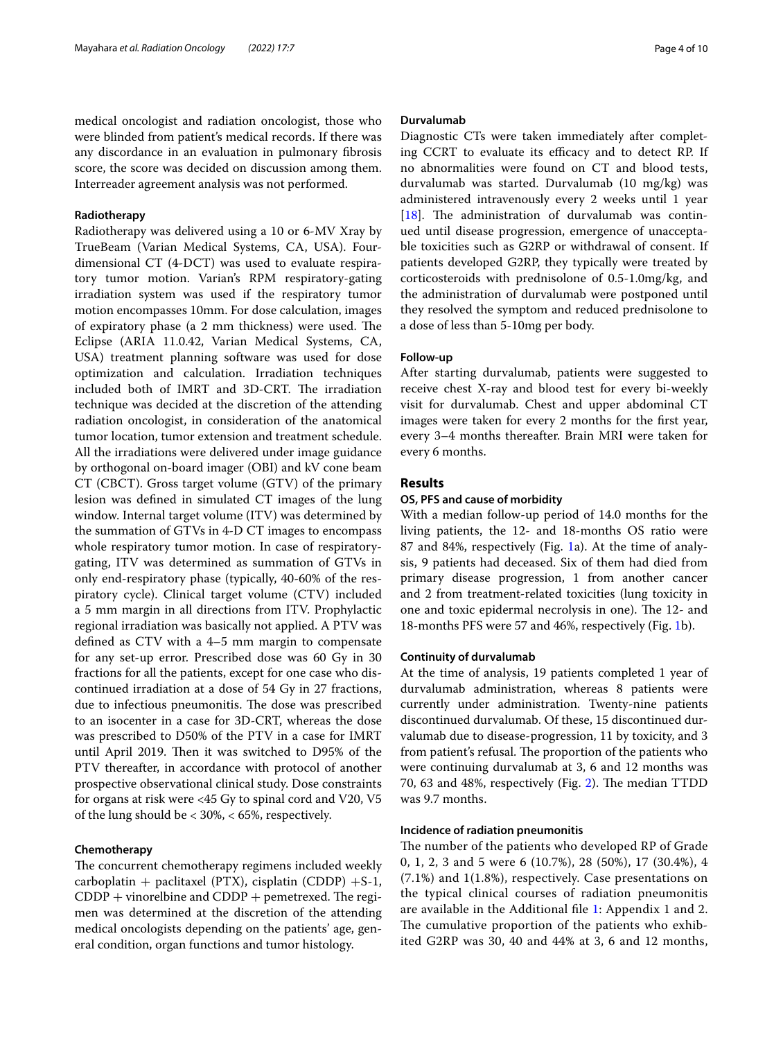medical oncologist and radiation oncologist, those who were blinded from patient's medical records. If there was any discordance in an evaluation in pulmonary fbrosis score, the score was decided on discussion among them. Interreader agreement analysis was not performed.

## **Radiotherapy**

Radiotherapy was delivered using a 10 or 6-MV Xray by TrueBeam (Varian Medical Systems, CA, USA). Fourdimensional CT (4-DCT) was used to evaluate respiratory tumor motion. Varian's RPM respiratory-gating irradiation system was used if the respiratory tumor motion encompasses 10mm. For dose calculation, images of expiratory phase (a 2 mm thickness) were used. The Eclipse (ARIA 11.0.42, Varian Medical Systems, CA, USA) treatment planning software was used for dose optimization and calculation. Irradiation techniques included both of IMRT and 3D-CRT. The irradiation technique was decided at the discretion of the attending radiation oncologist, in consideration of the anatomical tumor location, tumor extension and treatment schedule. All the irradiations were delivered under image guidance by orthogonal on-board imager (OBI) and kV cone beam CT (CBCT). Gross target volume (GTV) of the primary lesion was defned in simulated CT images of the lung window. Internal target volume (ITV) was determined by the summation of GTVs in 4-D CT images to encompass whole respiratory tumor motion. In case of respiratorygating, ITV was determined as summation of GTVs in only end-respiratory phase (typically, 40-60% of the respiratory cycle). Clinical target volume (CTV) included a 5 mm margin in all directions from ITV. Prophylactic regional irradiation was basically not applied. A PTV was defned as CTV with a 4–5 mm margin to compensate for any set-up error. Prescribed dose was 60 Gy in 30 fractions for all the patients, except for one case who discontinued irradiation at a dose of 54 Gy in 27 fractions, due to infectious pneumonitis. The dose was prescribed to an isocenter in a case for 3D-CRT, whereas the dose was prescribed to D50% of the PTV in a case for IMRT until April 2019. Then it was switched to D95% of the PTV thereafter, in accordance with protocol of another prospective observational clinical study. Dose constraints for organs at risk were <45 Gy to spinal cord and V20, V5 of the lung should be < 30%, < 65%, respectively.

## **Chemotherapy**

The concurrent chemotherapy regimens included weekly carboplatin + paclitaxel (PTX), cisplatin (CDDP) +S-1,  $CDDP +$  vinorelbine and  $CDDP +$  pemetrexed. The regimen was determined at the discretion of the attending medical oncologists depending on the patients' age, general condition, organ functions and tumor histology.

#### **Durvalumab**

Diagnostic CTs were taken immediately after completing CCRT to evaluate its efficacy and to detect RP. If no abnormalities were found on CT and blood tests, durvalumab was started. Durvalumab (10 mg/kg) was administered intravenously every 2 weeks until 1 year [ $18$ ]. The administration of durvalumab was continued until disease progression, emergence of unacceptable toxicities such as G2RP or withdrawal of consent. If patients developed G2RP, they typically were treated by corticosteroids with prednisolone of 0.5-1.0mg/kg, and the administration of durvalumab were postponed until they resolved the symptom and reduced prednisolone to a dose of less than 5-10mg per body.

## **Follow‑up**

After starting durvalumab, patients were suggested to receive chest X-ray and blood test for every bi-weekly visit for durvalumab. Chest and upper abdominal CT images were taken for every 2 months for the frst year, every 3–4 months thereafter. Brain MRI were taken for every 6 months.

## **Results**

## **OS, PFS and cause of morbidity**

With a median follow-up period of 14.0 months for the living patients, the 12- and 18-months OS ratio were 87 and 84%, respectively (Fig. [1a](#page-4-0)). At the time of analysis, 9 patients had deceased. Six of them had died from primary disease progression, 1 from another cancer and 2 from treatment-related toxicities (lung toxicity in one and toxic epidermal necrolysis in one). The 12- and 18-months PFS were 57 and 46%, respectively (Fig. [1](#page-4-0)b).

## **Continuity of durvalumab**

At the time of analysis, 19 patients completed 1 year of durvalumab administration, whereas 8 patients were currently under administration. Twenty-nine patients discontinued durvalumab. Of these, 15 discontinued durvalumab due to disease-progression, 11 by toxicity, and 3 from patient's refusal. The proportion of the patients who were continuing durvalumab at 3, 6 and 12 months was 70, 63 and 48%, respectively (Fig. [2](#page-4-1)). The median TTDD was 9.7 months.

## **Incidence of radiation pneumonitis**

The number of the patients who developed RP of Grade 0, 1, 2, 3 and 5 were 6 (10.7%), 28 (50%), 17 (30.4%), 4 (7.1%) and 1(1.8%), respectively. Case presentations on the typical clinical courses of radiation pneumonitis are available in the Additional fle [1:](#page-8-9) Appendix 1 and 2. The cumulative proportion of the patients who exhibited G2RP was 30, 40 and 44% at 3, 6 and 12 months,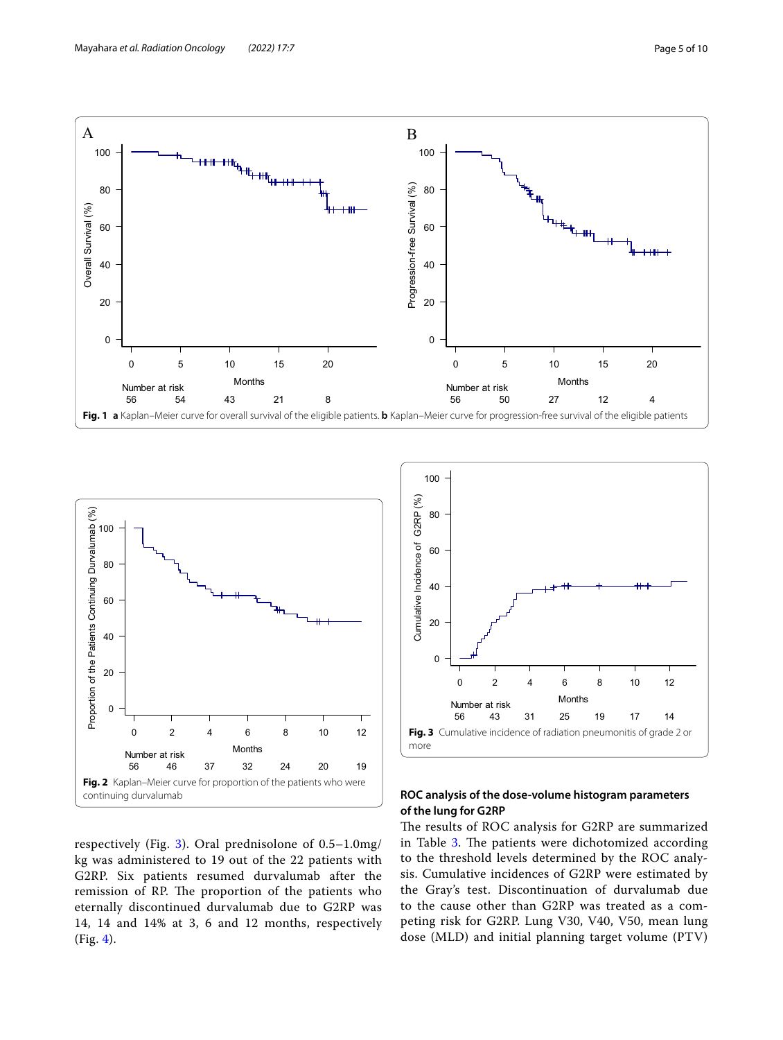

<span id="page-4-0"></span>

<span id="page-4-1"></span>respectively (Fig. [3](#page-4-2)). Oral prednisolone of 0.5–1.0mg/ kg was administered to 19 out of the 22 patients with G2RP. Six patients resumed durvalumab after the remission of RP. The proportion of the patients who eternally discontinued durvalumab due to G2RP was 14, 14 and 14% at 3, 6 and 12 months, respectively (Fig. [4\)](#page-5-0).



## <span id="page-4-2"></span>**ROC analysis of the dose‑volume histogram parameters of the lung for G2RP**

The results of ROC analysis for G2RP are summarized in Table [3.](#page-5-1) The patients were dichotomized according to the threshold levels determined by the ROC analysis. Cumulative incidences of G2RP were estimated by the Gray's test. Discontinuation of durvalumab due to the cause other than G2RP was treated as a competing risk for G2RP. Lung V30, V40, V50, mean lung dose (MLD) and initial planning target volume (PTV)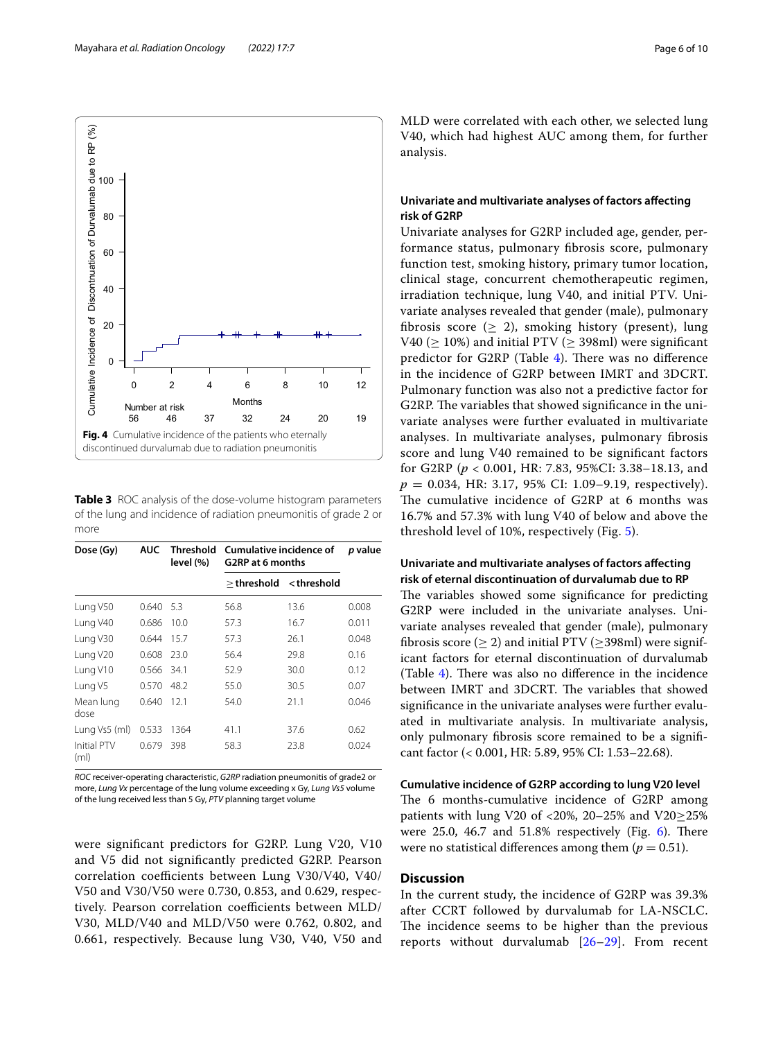

<span id="page-5-1"></span><span id="page-5-0"></span>**Table 3** ROC analysis of the dose-volume histogram parameters of the lung and incidence of radiation pneumonitis of grade 2 or more

| Dose (Gy)                  | <b>AUC</b> | <b>Threshold</b><br>level (%) | <b>Cumulative incidence of</b><br>G2RP at 6 months | p value                                  |       |
|----------------------------|------------|-------------------------------|----------------------------------------------------|------------------------------------------|-------|
|                            |            |                               | $>$ threshold                                      | <threshold< th=""><th></th></threshold<> |       |
| Lung V50                   | 0.640      | 5.3                           | 56.8                                               | 13.6                                     | 0.008 |
| Lung V40                   | 0.686      | 10.0                          | 57.3                                               | 16.7                                     | 0.011 |
| Lung V30                   | 0.644      | 15.7                          | 57.3                                               | 26.1                                     | 0.048 |
| Lung V20                   | 0.608      | 23.0                          | 56.4                                               | 29.8                                     | 0.16  |
| Lung V10                   | 0.566      | 34.1                          | 52.9                                               | 30.0                                     | 0.12  |
| Lung V5                    | 0.570      | 48.2                          | 55.0                                               | 30.5                                     | 0.07  |
| Mean lung<br>dose          | 0.640      | 12.1                          | 54.0                                               | 21.1                                     | 0.046 |
| Lung Vs5 (ml)              | 0.533      | 1364                          | 41.1                                               | 37.6                                     | 0.62  |
| <b>Initial PTV</b><br>(ml) | 0.679      | 398                           | 58.3                                               | 23.8                                     | 0.024 |

*ROC* receiver-operating characteristic, *G2RP* radiation pneumonitis of grade2 or more, *Lung Vx* percentage of the lung volume exceeding x Gy, *Lung Vs5* volume of the lung received less than 5 Gy, *PTV* planning target volume

were signifcant predictors for G2RP. Lung V20, V10 and V5 did not signifcantly predicted G2RP. Pearson correlation coefficients between Lung V30/V40, V40/ V50 and V30/V50 were 0.730, 0.853, and 0.629, respectively. Pearson correlation coefficients between MLD/ V30, MLD/V40 and MLD/V50 were 0.762, 0.802, and 0.661, respectively. Because lung V30, V40, V50 and MLD were correlated with each other, we selected lung V40, which had highest AUC among them, for further analysis.

## **Univariate and multivariate analyses of factors afecting risk of G2RP**

Univariate analyses for G2RP included age, gender, performance status, pulmonary fbrosis score, pulmonary function test, smoking history, primary tumor location, clinical stage, concurrent chemotherapeutic regimen, irradiation technique, lung V40, and initial PTV. Univariate analyses revealed that gender (male), pulmonary fibrosis score ( $\geq$  2), smoking history (present), lung V40 ( $\geq$  10%) and initial PTV ( $\geq$  398ml) were significant predictor for G2RP (Table  $4$ ). There was no difference in the incidence of G2RP between IMRT and 3DCRT. Pulmonary function was also not a predictive factor for G2RP. The variables that showed significance in the univariate analyses were further evaluated in multivariate analyses. In multivariate analyses, pulmonary fbrosis score and lung V40 remained to be signifcant factors for G2RP (*p* < 0.001, HR: 7.83, 95%CI: 3.38–18.13, and *p* = 0.034, HR: 3.17, 95% CI: 1.09–9.19, respectively). The cumulative incidence of G2RP at 6 months was 16.7% and 57.3% with lung V40 of below and above the threshold level of 10%, respectively (Fig. [5\)](#page-6-1).

## **Univariate and multivariate analyses of factors afecting risk of eternal discontinuation of durvalumab due to RP**

The variables showed some significance for predicting G2RP were included in the univariate analyses. Univariate analyses revealed that gender (male), pulmonary fibrosis score ( $\geq$  2) and initial PTV ( $\geq$ 398ml) were significant factors for eternal discontinuation of durvalumab (Table [4\)](#page-6-0). There was also no difference in the incidence between IMRT and 3DCRT. The variables that showed signifcance in the univariate analyses were further evaluated in multivariate analysis. In multivariate analysis, only pulmonary fbrosis score remained to be a signifcant factor (< 0.001, HR: 5.89, 95% CI: 1.53–22.68).

**Cumulative incidence of G2RP according to lung V20 level** The 6 months-cumulative incidence of G2RP among patients with lung V20 of <20%, 20–25% and V20≥25% were  $25.0$ ,  $46.7$  and  $51.8\%$  respectively (Fig. [6\)](#page-6-2). There were no statistical differences among them  $(p = 0.51)$ .

## **Discussion**

In the current study, the incidence of G2RP was 39.3% after CCRT followed by durvalumab for LA-NSCLC. The incidence seems to be higher than the previous reports without durvalumab [[26–](#page-9-10)[29\]](#page-9-11). From recent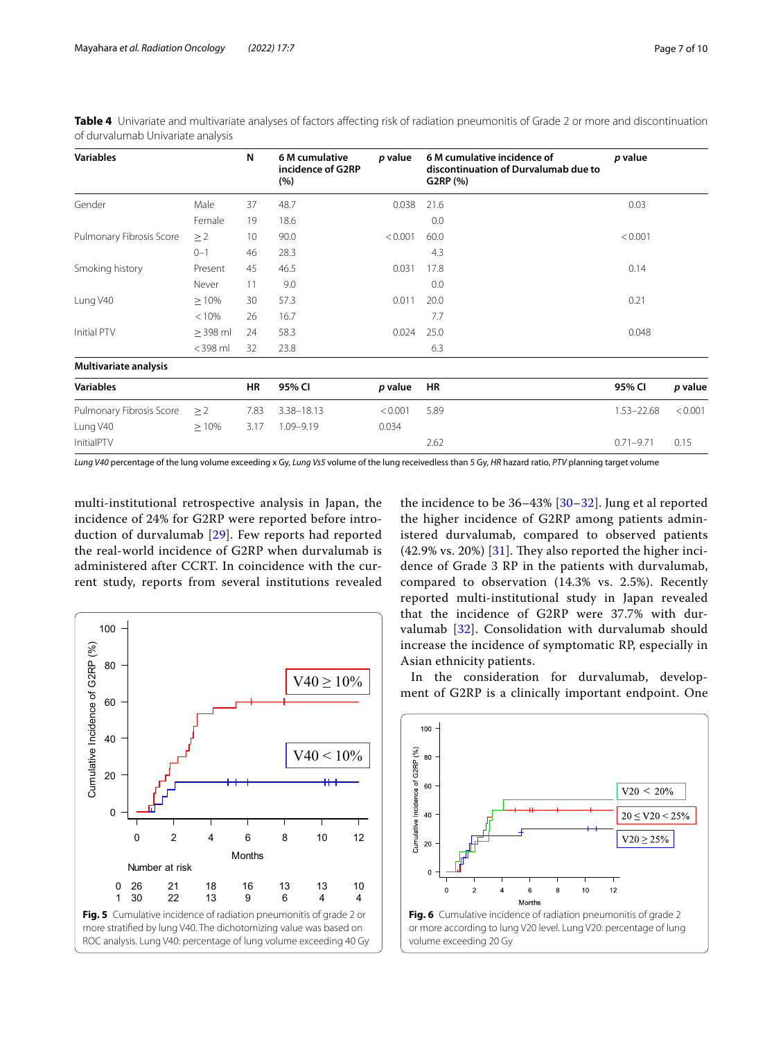| <b>Variables</b>         |               | N    | 6 M cumulative<br>incidence of G2RP<br>(%) | p value | 6 M cumulative incidence of<br>discontinuation of Durvalumab due to<br>G2RP (%) | p value        |         |
|--------------------------|---------------|------|--------------------------------------------|---------|---------------------------------------------------------------------------------|----------------|---------|
| Gender                   | Male          | 37   | 48.7                                       | 0.038   | 21.6                                                                            | 0.03           |         |
|                          | Female        | 19   | 18.6                                       |         | 0.0                                                                             |                |         |
| Pulmonary Fibrosis Score | $\geq$ 2      | 10   | 90.0                                       | < 0.001 | 60.0                                                                            | < 0.001        |         |
|                          | $0 - 1$       | 46   | 28.3                                       |         | 4.3                                                                             |                |         |
| Smoking history          | Present       | 45   | 46.5                                       | 0.031   | 17.8                                                                            | 0.14           |         |
|                          | Never         | 11   | 9.0                                        |         | 0.0                                                                             |                |         |
| Lung V40                 | $\geq 10\%$   | 30   | 57.3                                       | 0.011   | 20.0                                                                            | 0.21           |         |
|                          | < 10%         | 26   | 16.7                                       |         | 7.7                                                                             |                |         |
| Initial PTV              | $\geq$ 398 ml | 24   | 58.3                                       | 0.024   | 25.0                                                                            | 0.048          |         |
|                          | $<$ 398 ml    | 32   | 23.8                                       |         | 6.3                                                                             |                |         |
| Multivariate analysis    |               |      |                                            |         |                                                                                 |                |         |
| <b>Variables</b>         |               | HR   | 95% CI                                     | p value | HR                                                                              | 95% CI         | p value |
| Pulmonary Fibrosis Score | $\geq$ 2      | 7.83 | 3.38-18.13                                 | < 0.001 | 5.89                                                                            | $1.53 - 22.68$ | < 0.001 |
| Lung V40                 | $\geq 10\%$   | 3.17 | 1.09-9.19                                  | 0.034   |                                                                                 |                |         |
| InitialPTV               |               |      |                                            |         | 2.62                                                                            | $0.71 - 9.71$  | 0.15    |

<span id="page-6-0"></span>Table 4 Univariate and multivariate analyses of factors affecting risk of radiation pneumonitis of Grade 2 or more and discontinuation of durvalumab Univariate analysis

*Lung V40* percentage of the lung volume exceeding x Gy, *Lung Vs5* volume of the lung receivedless than 5 Gy, *HR* hazard ratio, *PTV* planning target volume

multi-institutional retrospective analysis in Japan, the incidence of 24% for G2RP were reported before introduction of durvalumab [[29\]](#page-9-11). Few reports had reported the real-world incidence of G2RP when durvalumab is administered after CCRT. In coincidence with the current study, reports from several institutions revealed

<span id="page-6-1"></span>

the incidence to be 36–43% [[30](#page-9-12)[–32](#page-9-13)]. Jung et al reported the higher incidence of G2RP among patients administered durvalumab, compared to observed patients  $(42.9\% \text{ vs. } 20\%)$  [[31\]](#page-9-14). They also reported the higher incidence of Grade 3 RP in the patients with durvalumab, compared to observation (14.3% vs. 2.5%). Recently reported multi-institutional study in Japan revealed that the incidence of G2RP were 37.7% with durvalumab [[32](#page-9-13)]. Consolidation with durvalumab should increase the incidence of symptomatic RP, especially in Asian ethnicity patients.

In the consideration for durvalumab, development of G2RP is a clinically important endpoint. One



<span id="page-6-2"></span>volume exceeding 20 Gy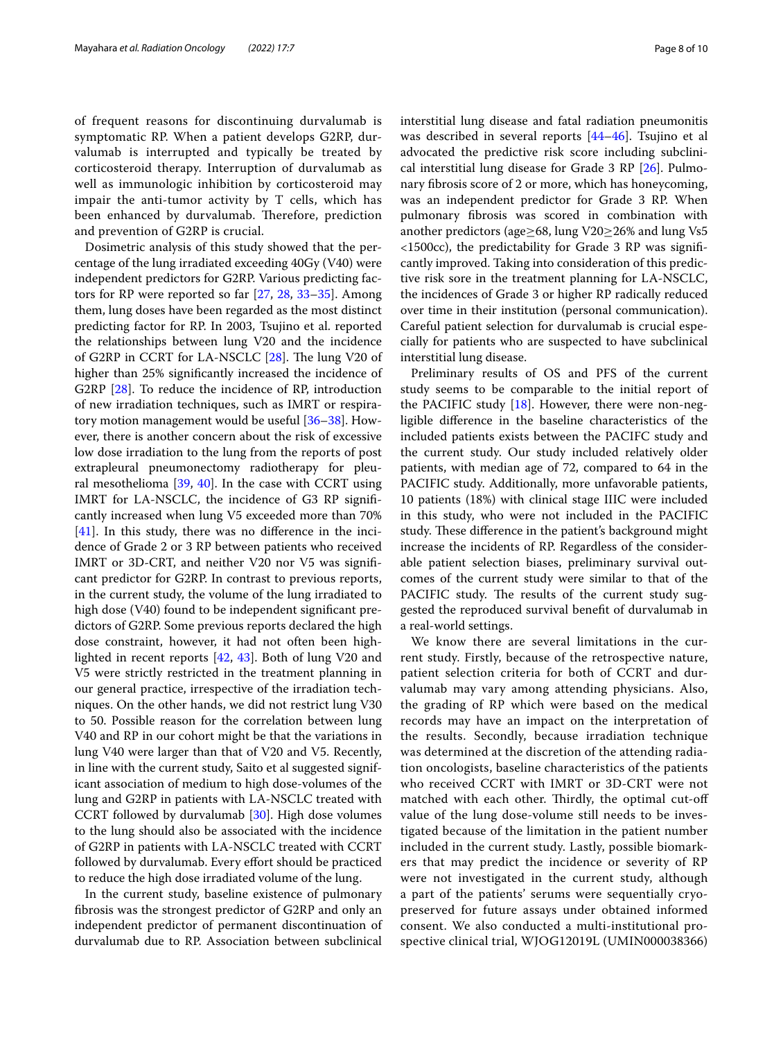of frequent reasons for discontinuing durvalumab is symptomatic RP. When a patient develops G2RP, durvalumab is interrupted and typically be treated by corticosteroid therapy. Interruption of durvalumab as well as immunologic inhibition by corticosteroid may impair the anti-tumor activity by T cells, which has been enhanced by durvalumab. Therefore, prediction and prevention of G2RP is crucial.

Dosimetric analysis of this study showed that the percentage of the lung irradiated exceeding 40Gy (V40) were independent predictors for G2RP. Various predicting factors for RP were reported so far [[27,](#page-9-15) [28,](#page-9-16) [33–](#page-9-17)[35\]](#page-9-18). Among them, lung doses have been regarded as the most distinct predicting factor for RP. In 2003, Tsujino et al. reported the relationships between lung V20 and the incidence of G2RP in CCRT for LA-NSCLC [[28\]](#page-9-16). The lung V20 of higher than 25% signifcantly increased the incidence of G2RP [\[28](#page-9-16)]. To reduce the incidence of RP, introduction of new irradiation techniques, such as IMRT or respiratory motion management would be useful [[36–](#page-9-19)[38](#page-9-20)]. However, there is another concern about the risk of excessive low dose irradiation to the lung from the reports of post extrapleural pneumonectomy radiotherapy for pleural mesothelioma  $[39, 40]$  $[39, 40]$  $[39, 40]$  $[39, 40]$  $[39, 40]$ . In the case with CCRT using IMRT for LA-NSCLC, the incidence of G3 RP signifcantly increased when lung V5 exceeded more than 70%  $[41]$  $[41]$ . In this study, there was no difference in the incidence of Grade 2 or 3 RP between patients who received IMRT or 3D-CRT, and neither V20 nor V5 was signifcant predictor for G2RP. In contrast to previous reports, in the current study, the volume of the lung irradiated to high dose (V40) found to be independent significant predictors of G2RP. Some previous reports declared the high dose constraint, however, it had not often been highlighted in recent reports [\[42](#page-9-24), [43\]](#page-9-25). Both of lung V20 and V5 were strictly restricted in the treatment planning in our general practice, irrespective of the irradiation techniques. On the other hands, we did not restrict lung V30 to 50. Possible reason for the correlation between lung V40 and RP in our cohort might be that the variations in lung V40 were larger than that of V20 and V5. Recently, in line with the current study, Saito et al suggested significant association of medium to high dose-volumes of the lung and G2RP in patients with LA-NSCLC treated with CCRT followed by durvalumab [[30](#page-9-12)]. High dose volumes to the lung should also be associated with the incidence of G2RP in patients with LA-NSCLC treated with CCRT followed by durvalumab. Every efort should be practiced to reduce the high dose irradiated volume of the lung.

In the current study, baseline existence of pulmonary fbrosis was the strongest predictor of G2RP and only an independent predictor of permanent discontinuation of durvalumab due to RP. Association between subclinical interstitial lung disease and fatal radiation pneumonitis was described in several reports [[44–](#page-9-26)[46](#page-9-27)]. Tsujino et al advocated the predictive risk score including subclinical interstitial lung disease for Grade 3 RP [[26](#page-9-10)]. Pulmonary fbrosis score of 2 or more, which has honeycoming, was an independent predictor for Grade 3 RP. When pulmonary fbrosis was scored in combination with another predictors (age≥68, lung V20≥26% and lung Vs5 <1500cc), the predictability for Grade 3 RP was signifcantly improved. Taking into consideration of this predictive risk sore in the treatment planning for LA-NSCLC, the incidences of Grade 3 or higher RP radically reduced over time in their institution (personal communication). Careful patient selection for durvalumab is crucial especially for patients who are suspected to have subclinical interstitial lung disease.

Preliminary results of OS and PFS of the current study seems to be comparable to the initial report of the PACIFIC study  $[18]$  $[18]$ . However, there were non-negligible diference in the baseline characteristics of the included patients exists between the PACIFC study and the current study. Our study included relatively older patients, with median age of 72, compared to 64 in the PACIFIC study. Additionally, more unfavorable patients, 10 patients (18%) with clinical stage IIIC were included in this study, who were not included in the PACIFIC study. These difference in the patient's background might increase the incidents of RP. Regardless of the considerable patient selection biases, preliminary survival outcomes of the current study were similar to that of the PACIFIC study. The results of the current study suggested the reproduced survival beneft of durvalumab in a real-world settings.

We know there are several limitations in the current study. Firstly, because of the retrospective nature, patient selection criteria for both of CCRT and durvalumab may vary among attending physicians. Also, the grading of RP which were based on the medical records may have an impact on the interpretation of the results. Secondly, because irradiation technique was determined at the discretion of the attending radiation oncologists, baseline characteristics of the patients who received CCRT with IMRT or 3D-CRT were not matched with each other. Thirdly, the optimal cut-off value of the lung dose-volume still needs to be investigated because of the limitation in the patient number included in the current study. Lastly, possible biomarkers that may predict the incidence or severity of RP were not investigated in the current study, although a part of the patients' serums were sequentially cryopreserved for future assays under obtained informed consent. We also conducted a multi-institutional prospective clinical trial, WJOG12019L (UMIN000038366)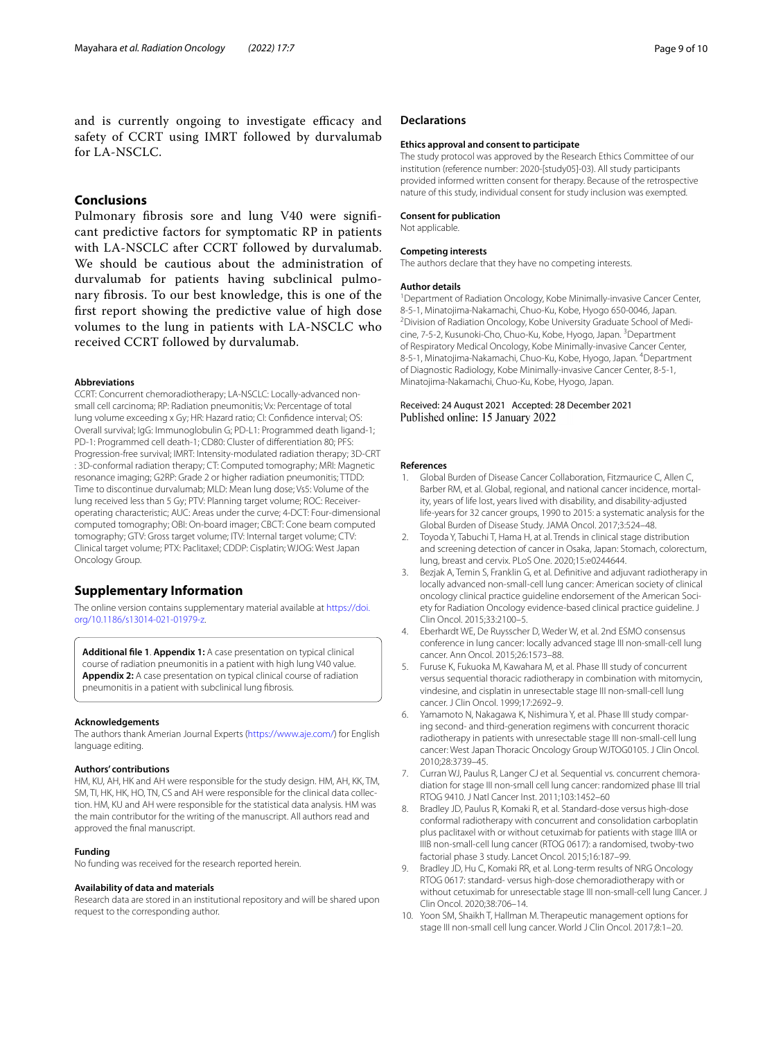and is currently ongoing to investigate efficacy and safety of CCRT using IMRT followed by durvalumab for LA-NSCLC.

## **Conclusions**

Pulmonary fbrosis sore and lung V40 were signifcant predictive factors for symptomatic RP in patients with LA-NSCLC after CCRT followed by durvalumab. We should be cautious about the administration of durvalumab for patients having subclinical pulmonary fbrosis. To our best knowledge, this is one of the frst report showing the predictive value of high dose volumes to the lung in patients with LA-NSCLC who received CCRT followed by durvalumab.

#### **Abbreviations**

CCRT: Concurrent chemoradiotherapy; LA-NSCLC: Locally-advanced nonsmall cell carcinoma; RP: Radiation pneumonitis; Vx: Percentage of total lung volume exceeding x Gy; HR: Hazard ratio; CI: Confdence interval; OS: Overall survival; IgG: Immunoglobulin G; PD-L1: Programmed death ligand-1; PD-1: Programmed cell death-1; CD80: Cluster of diferentiation 80; PFS: Progression-free survival; IMRT: Intensity-modulated radiation therapy; 3D-CRT : 3D-conformal radiation therapy; CT: Computed tomography; MRI: Magnetic resonance imaging; G2RP: Grade 2 or higher radiation pneumonitis; TTDD: Time to discontinue durvalumab; MLD: Mean lung dose; Vs5: Volume of the lung received less than 5 Gy; PTV: Planning target volume; ROC: Receiveroperating characteristic; AUC: Areas under the curve; 4-DCT: Four-dimensional computed tomography; OBI: On-board imager; CBCT: Cone beam computed tomography; GTV: Gross target volume; ITV: Internal target volume; CTV: Clinical target volume; PTX: Paclitaxel; CDDP: Cisplatin; WJOG: West Japan Oncology Group.

## **Supplementary Information**

The online version contains supplementary material available at [https://doi.](https://doi.org/10.1186/s13014-021-01979-z) [org/10.1186/s13014-021-01979-z.](https://doi.org/10.1186/s13014-021-01979-z)

<span id="page-8-9"></span>**Additional fle 1**. **Appendix 1:** A case presentation on typical clinical course of radiation pneumonitis in a patient with high lung V40 value. Appendix 2: A case presentation on typical clinical course of radiation pneumonitis in a patient with subclinical lung fbrosis.

#### **Acknowledgements**

The authors thank Amerian Journal Experts (<https://www.aje.com/>) for English language editing.

#### **Authors' contributions**

HM, KU, AH, HK and AH were responsible for the study design. HM, AH, KK, TM, SM, TI, HK, HK, HO, TN, CS and AH were responsible for the clinical data collection. HM, KU and AH were responsible for the statistical data analysis. HM was the main contributor for the writing of the manuscript. All authors read and approved the fnal manuscript.

## **Funding**

No funding was received for the research reported herein.

## **Availability of data and materials**

Research data are stored in an institutional repository and will be shared upon request to the corresponding author.

#### **Declarations**

#### **Ethics approval and consent to participate**

The study protocol was approved by the Research Ethics Committee of our institution (reference number: 2020-[study05]-03). All study participants provided informed written consent for therapy. Because of the retrospective nature of this study, individual consent for study inclusion was exempted.

## **Consent for publication**

Not applicable.

#### **Competing interests**

The authors declare that they have no competing interests.

#### **Author details**

<sup>1</sup> Department of Radiation Oncology, Kobe Minimally-invasive Cancer Center, 8-5-1, Minatojima-Nakamachi, Chuo-Ku, Kobe, Hyogo 650-0046, Japan. 2 <sup>2</sup> Division of Radiation Oncology, Kobe University Graduate School of Medicine, 7-5-2, Kusunoki-Cho, Chuo-Ku, Kobe, Hyogo, Japan. <sup>3</sup>Department of Respiratory Medical Oncology, Kobe Minimally-invasive Cancer Center, 8-5-1, Minatojima-Nakamachi, Chuo-Ku, Kobe, Hyogo, Japan. <sup>4</sup>Department of Diagnostic Radiology, Kobe Minimally-invasive Cancer Center, 8-5-1, Minatojima-Nakamachi, Chuo-Ku, Kobe, Hyogo, Japan.

#### Received: 24 August 2021 Accepted: 28 December 2021 Published online: 15 January 2022

#### **References**

- <span id="page-8-0"></span>Global Burden of Disease Cancer Collaboration, Fitzmaurice C, Allen C, Barber RM, et al. Global, regional, and national cancer incidence, mortality, years of life lost, years lived with disability, and disability-adjusted life-years for 32 cancer groups, 1990 to 2015: a systematic analysis for the Global Burden of Disease Study. JAMA Oncol. 2017;3:524–48.
- <span id="page-8-1"></span>2. Toyoda Y, Tabuchi T, Hama H, at al. Trends in clinical stage distribution and screening detection of cancer in Osaka, Japan: Stomach, colorectum, lung, breast and cervix. PLoS One. 2020;15:e0244644.
- <span id="page-8-2"></span>3. Bezjak A, Temin S, Franklin G, et al. Defnitive and adjuvant radiotherapy in locally advanced non-small-cell lung cancer: American society of clinical oncology clinical practice guideline endorsement of the American Society for Radiation Oncology evidence-based clinical practice guideline. J Clin Oncol. 2015;33:2100–5.
- <span id="page-8-3"></span>4. Eberhardt WE, De Ruysscher D, Weder W, et al. 2nd ESMO consensus conference in lung cancer: locally advanced stage III non-small-cell lung cancer. Ann Oncol. 2015;26:1573–88.
- <span id="page-8-4"></span>5. Furuse K, Fukuoka M, Kawahara M, et al. Phase III study of concurrent versus sequential thoracic radiotherapy in combination with mitomycin, vindesine, and cisplatin in unresectable stage III non-small-cell lung cancer. J Clin Oncol. 1999;17:2692–9.
- <span id="page-8-6"></span>6. Yamamoto N, Nakagawa K, Nishimura Y, et al. Phase III study comparing second- and third-generation regimens with concurrent thoracic radiotherapy in patients with unresectable stage III non-small-cell lung cancer: West Japan Thoracic Oncology Group WJTOG0105. J Clin Oncol. 2010;28:3739–45.
- 7. Curran WJ, Paulus R, Langer CJ et al. Sequential vs. concurrent chemoradiation for stage III non-small cell lung cancer: randomized phase III trial RTOG 9410. J Natl Cancer Inst. 2011;103:1452–60
- <span id="page-8-7"></span>8. Bradley JD, Paulus R, Komaki R, et al. Standard-dose versus high-dose conformal radiotherapy with concurrent and consolidation carboplatin plus paclitaxel with or without cetuximab for patients with stage IIIA or IIIB non-small-cell lung cancer (RTOG 0617): a randomised, twoby-two factorial phase 3 study. Lancet Oncol. 2015;16:187–99.
- <span id="page-8-8"></span>9. Bradley JD, Hu C, Komaki RR, et al. Long-term results of NRG Oncology RTOG 0617: standard- versus high-dose chemoradiotherapy with or without cetuximab for unresectable stage III non-small-cell lung Cancer. J Clin Oncol. 2020;38:706–14.
- <span id="page-8-5"></span>10. Yoon SM, Shaikh T, Hallman M. Therapeutic management options for stage III non-small cell lung cancer. World J Clin Oncol. 2017;8:1–20.